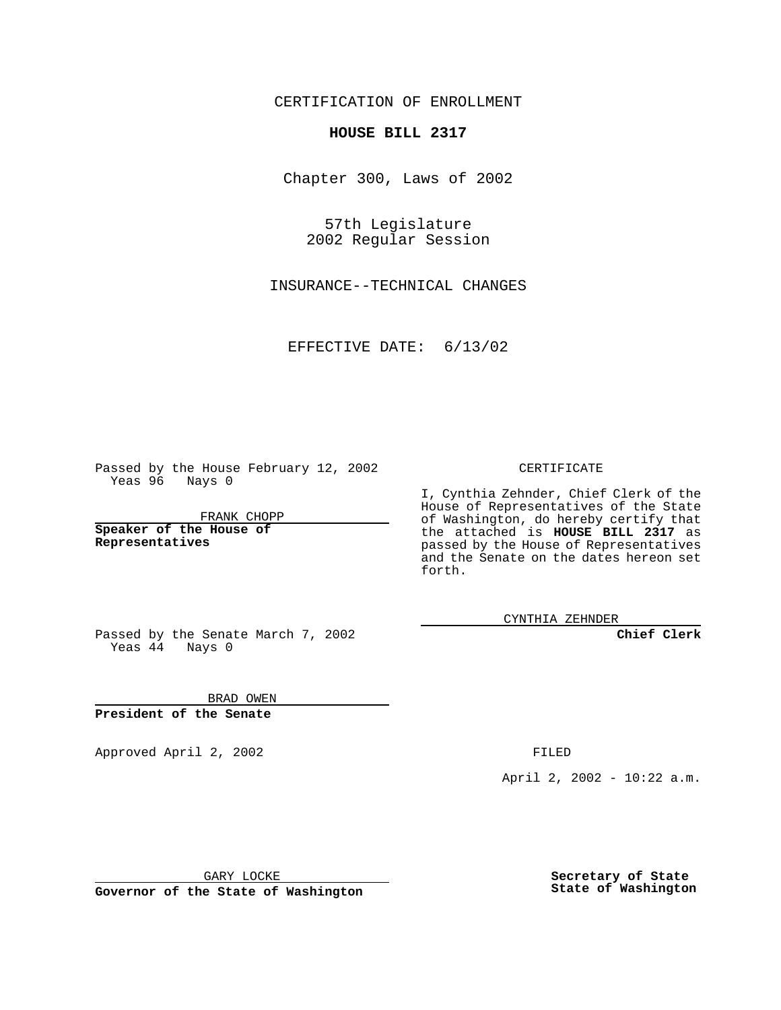CERTIFICATION OF ENROLLMENT

## **HOUSE BILL 2317**

Chapter 300, Laws of 2002

57th Legislature 2002 Regular Session

INSURANCE--TECHNICAL CHANGES

EFFECTIVE DATE: 6/13/02

Passed by the House February 12, 2002 Yeas 96 Nays 0

FRANK CHOPP

**Speaker of the House of Representatives**

CERTIFICATE

I, Cynthia Zehnder, Chief Clerk of the House of Representatives of the State of Washington, do hereby certify that the attached is **HOUSE BILL 2317** as passed by the House of Representatives and the Senate on the dates hereon set forth.

CYNTHIA ZEHNDER

**Chief Clerk**

Passed by the Senate March 7, 2002 Yeas  $4\overline{4}$  Nays 0

BRAD OWEN **President of the Senate**

Approved April 2, 2002 **FILED** 

April 2, 2002 - 10:22 a.m.

GARY LOCKE

**Governor of the State of Washington**

**Secretary of State State of Washington**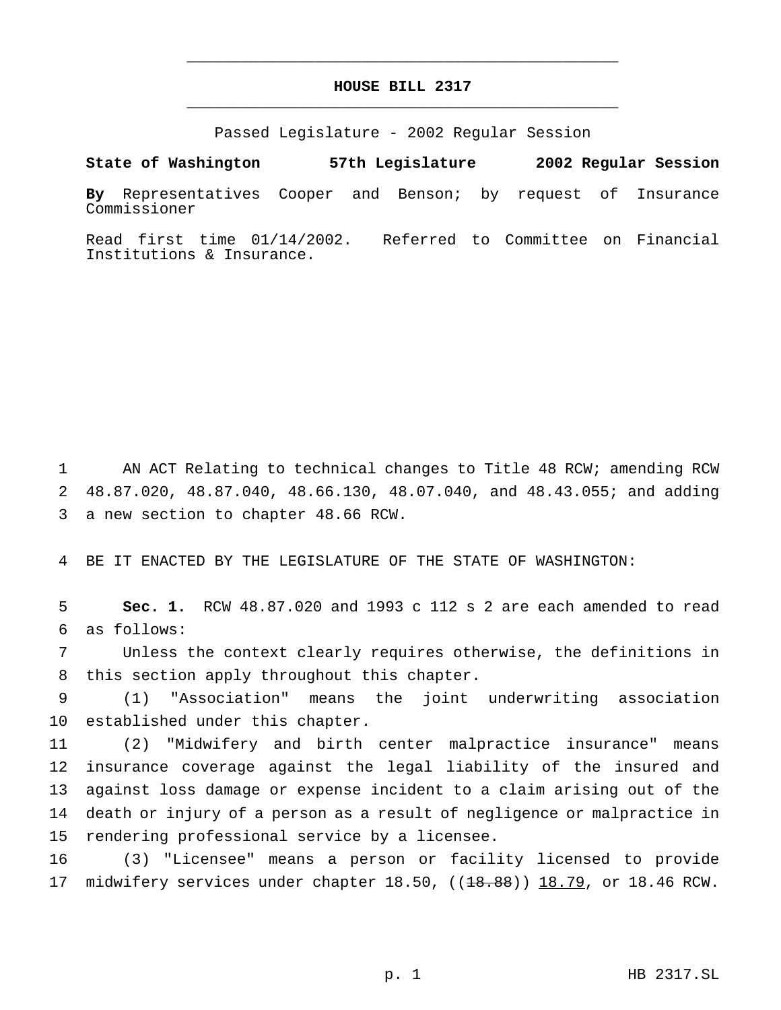## **HOUSE BILL 2317** \_\_\_\_\_\_\_\_\_\_\_\_\_\_\_\_\_\_\_\_\_\_\_\_\_\_\_\_\_\_\_\_\_\_\_\_\_\_\_\_\_\_\_\_\_\_\_

\_\_\_\_\_\_\_\_\_\_\_\_\_\_\_\_\_\_\_\_\_\_\_\_\_\_\_\_\_\_\_\_\_\_\_\_\_\_\_\_\_\_\_\_\_\_\_

Passed Legislature - 2002 Regular Session

**State of Washington 57th Legislature 2002 Regular Session**

**By** Representatives Cooper and Benson; by request of Insurance Commissioner

Read first time 01/14/2002. Referred to Committee on Financial Institutions & Insurance.

1 AN ACT Relating to technical changes to Title 48 RCW; amending RCW 2 48.87.020, 48.87.040, 48.66.130, 48.07.040, and 48.43.055; and adding 3 a new section to chapter 48.66 RCW.

4 BE IT ENACTED BY THE LEGISLATURE OF THE STATE OF WASHINGTON:

5 **Sec. 1.** RCW 48.87.020 and 1993 c 112 s 2 are each amended to read 6 as follows:

7 Unless the context clearly requires otherwise, the definitions in 8 this section apply throughout this chapter.

9 (1) "Association" means the joint underwriting association 10 established under this chapter.

 (2) "Midwifery and birth center malpractice insurance" means insurance coverage against the legal liability of the insured and against loss damage or expense incident to a claim arising out of the death or injury of a person as a result of negligence or malpractice in rendering professional service by a licensee.

16 (3) "Licensee" means a person or facility licensed to provide 17 midwifery services under chapter  $18.50$ ,  $(18.88)$ )  $18.79$ , or 18.46 RCW.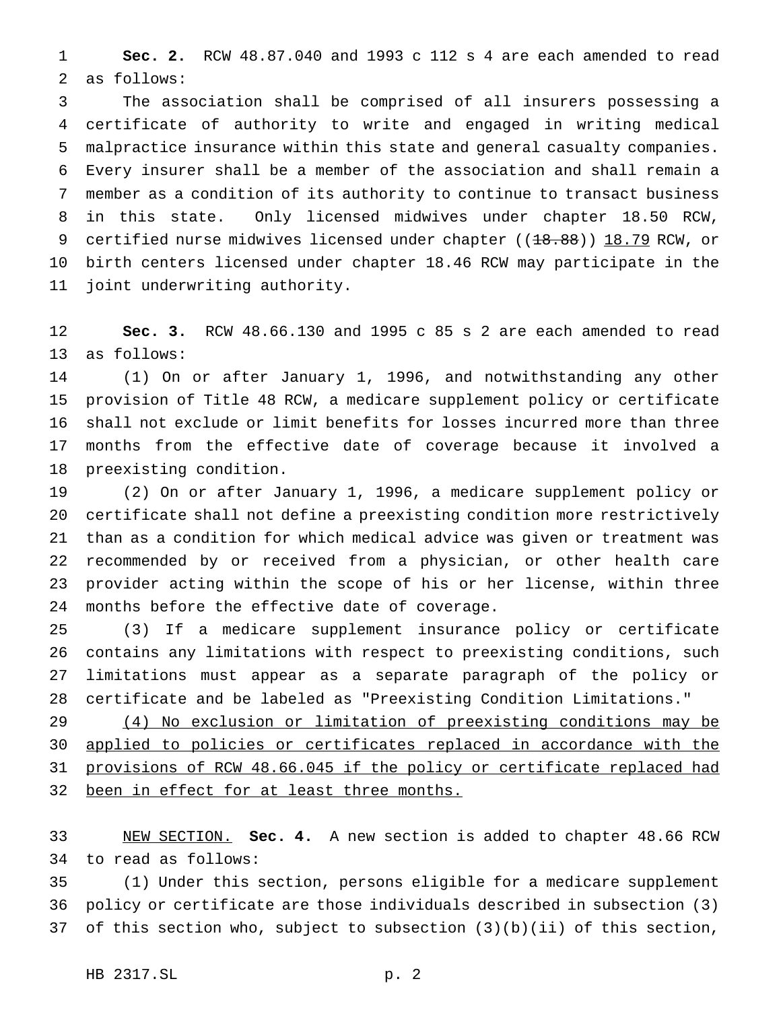**Sec. 2.** RCW 48.87.040 and 1993 c 112 s 4 are each amended to read as follows:

 The association shall be comprised of all insurers possessing a certificate of authority to write and engaged in writing medical malpractice insurance within this state and general casualty companies. Every insurer shall be a member of the association and shall remain a member as a condition of its authority to continue to transact business in this state. Only licensed midwives under chapter 18.50 RCW, 9 certified nurse midwives licensed under chapter ((18.88)) 18.79 RCW, or birth centers licensed under chapter 18.46 RCW may participate in the joint underwriting authority.

 **Sec. 3.** RCW 48.66.130 and 1995 c 85 s 2 are each amended to read as follows:

 (1) On or after January 1, 1996, and notwithstanding any other provision of Title 48 RCW, a medicare supplement policy or certificate shall not exclude or limit benefits for losses incurred more than three months from the effective date of coverage because it involved a preexisting condition.

 (2) On or after January 1, 1996, a medicare supplement policy or certificate shall not define a preexisting condition more restrictively than as a condition for which medical advice was given or treatment was recommended by or received from a physician, or other health care provider acting within the scope of his or her license, within three months before the effective date of coverage.

 (3) If a medicare supplement insurance policy or certificate contains any limitations with respect to preexisting conditions, such limitations must appear as a separate paragraph of the policy or certificate and be labeled as "Preexisting Condition Limitations."

 (4) No exclusion or limitation of preexisting conditions may be applied to policies or certificates replaced in accordance with the provisions of RCW 48.66.045 if the policy or certificate replaced had 32 been in effect for at least three months.

 NEW SECTION. **Sec. 4.** A new section is added to chapter 48.66 RCW to read as follows:

 (1) Under this section, persons eligible for a medicare supplement policy or certificate are those individuals described in subsection (3) of this section who, subject to subsection (3)(b)(ii) of this section,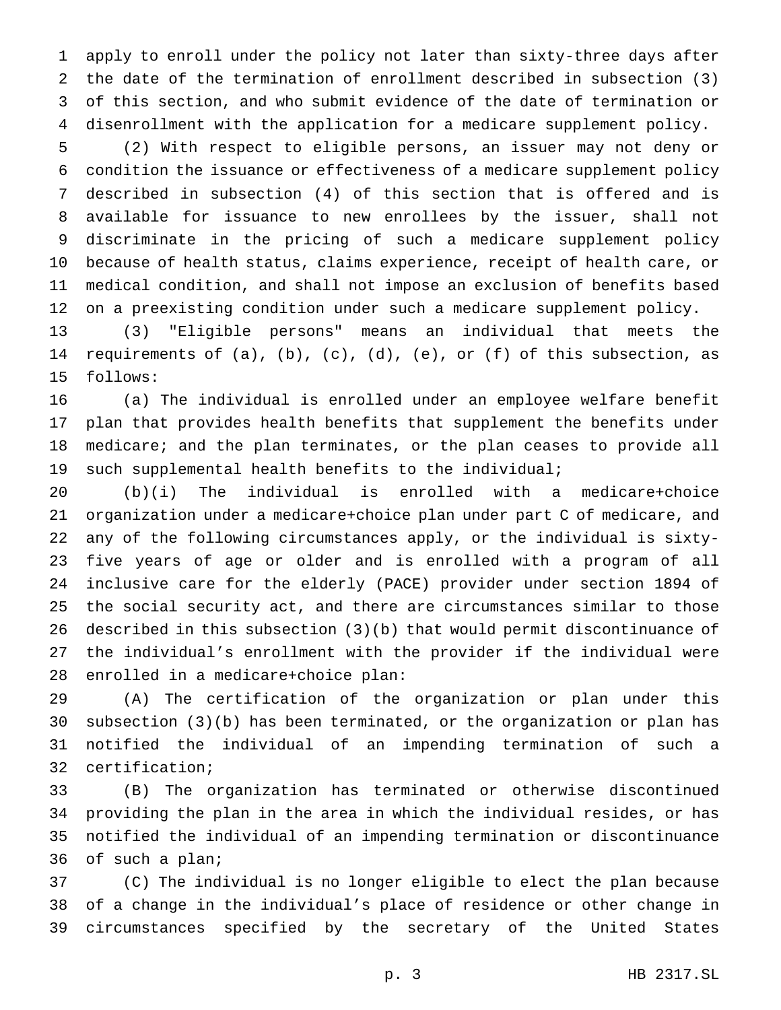apply to enroll under the policy not later than sixty-three days after the date of the termination of enrollment described in subsection (3) of this section, and who submit evidence of the date of termination or disenrollment with the application for a medicare supplement policy.

 (2) With respect to eligible persons, an issuer may not deny or condition the issuance or effectiveness of a medicare supplement policy described in subsection (4) of this section that is offered and is available for issuance to new enrollees by the issuer, shall not discriminate in the pricing of such a medicare supplement policy because of health status, claims experience, receipt of health care, or medical condition, and shall not impose an exclusion of benefits based on a preexisting condition under such a medicare supplement policy.

 (3) "Eligible persons" means an individual that meets the 14 requirements of  $(a)$ ,  $(b)$ ,  $(c)$ ,  $(d)$ ,  $(e)$ , or  $(f)$  of this subsection, as follows:

 (a) The individual is enrolled under an employee welfare benefit plan that provides health benefits that supplement the benefits under medicare; and the plan terminates, or the plan ceases to provide all such supplemental health benefits to the individual;

 (b)(i) The individual is enrolled with a medicare+choice organization under a medicare+choice plan under part C of medicare, and any of the following circumstances apply, or the individual is sixty- five years of age or older and is enrolled with a program of all inclusive care for the elderly (PACE) provider under section 1894 of the social security act, and there are circumstances similar to those described in this subsection (3)(b) that would permit discontinuance of the individual's enrollment with the provider if the individual were enrolled in a medicare+choice plan:

 (A) The certification of the organization or plan under this subsection (3)(b) has been terminated, or the organization or plan has notified the individual of an impending termination of such a certification;

 (B) The organization has terminated or otherwise discontinued providing the plan in the area in which the individual resides, or has notified the individual of an impending termination or discontinuance of such a plan;

 (C) The individual is no longer eligible to elect the plan because of a change in the individual's place of residence or other change in circumstances specified by the secretary of the United States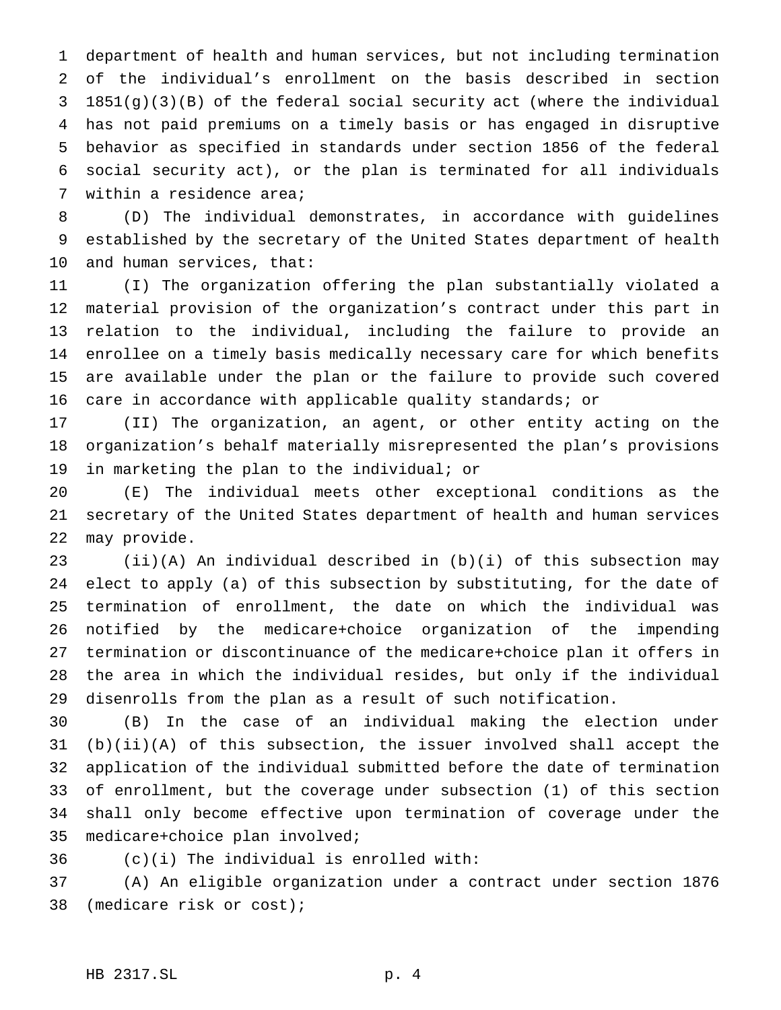department of health and human services, but not including termination of the individual's enrollment on the basis described in section 1851(g)(3)(B) of the federal social security act (where the individual has not paid premiums on a timely basis or has engaged in disruptive behavior as specified in standards under section 1856 of the federal social security act), or the plan is terminated for all individuals within a residence area;

 (D) The individual demonstrates, in accordance with guidelines established by the secretary of the United States department of health and human services, that:

 (I) The organization offering the plan substantially violated a material provision of the organization's contract under this part in relation to the individual, including the failure to provide an enrollee on a timely basis medically necessary care for which benefits are available under the plan or the failure to provide such covered care in accordance with applicable quality standards; or

 (II) The organization, an agent, or other entity acting on the organization's behalf materially misrepresented the plan's provisions in marketing the plan to the individual; or

 (E) The individual meets other exceptional conditions as the secretary of the United States department of health and human services may provide.

 (ii)(A) An individual described in (b)(i) of this subsection may elect to apply (a) of this subsection by substituting, for the date of termination of enrollment, the date on which the individual was notified by the medicare+choice organization of the impending termination or discontinuance of the medicare+choice plan it offers in the area in which the individual resides, but only if the individual disenrolls from the plan as a result of such notification.

 (B) In the case of an individual making the election under (b)(ii)(A) of this subsection, the issuer involved shall accept the application of the individual submitted before the date of termination of enrollment, but the coverage under subsection (1) of this section shall only become effective upon termination of coverage under the medicare+choice plan involved;

(c)(i) The individual is enrolled with:

 (A) An eligible organization under a contract under section 1876 (medicare risk or cost);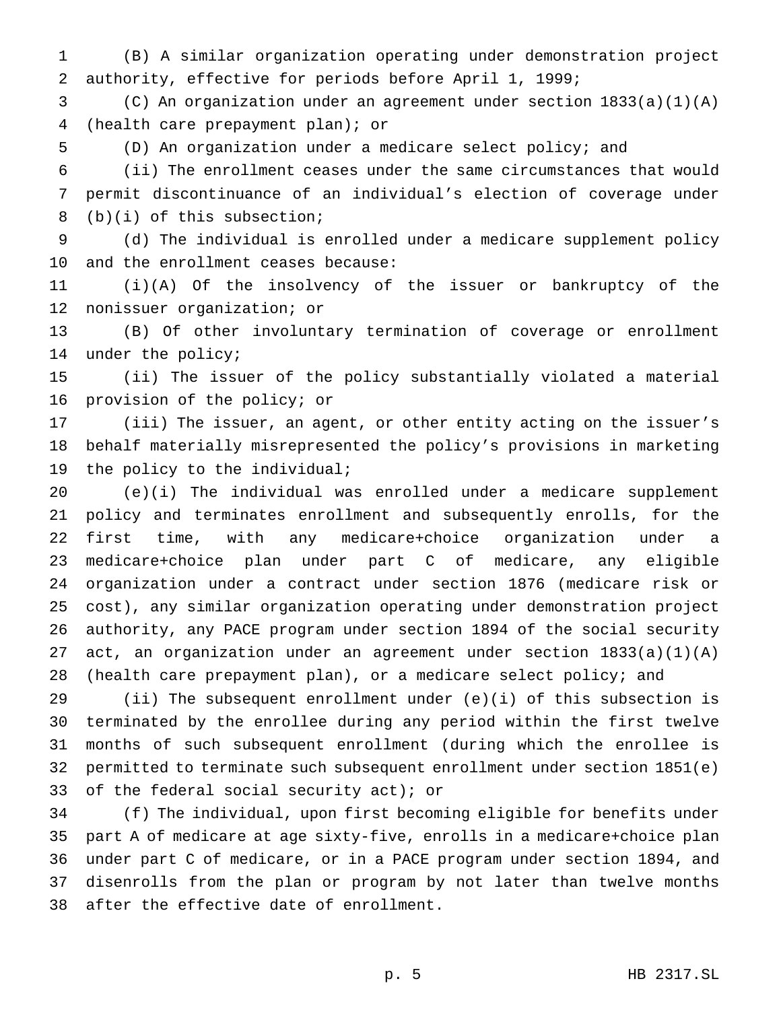(B) A similar organization operating under demonstration project authority, effective for periods before April 1, 1999;

 (C) An organization under an agreement under section 1833(a)(1)(A) (health care prepayment plan); or

(D) An organization under a medicare select policy; and

 (ii) The enrollment ceases under the same circumstances that would permit discontinuance of an individual's election of coverage under (b)(i) of this subsection;

 (d) The individual is enrolled under a medicare supplement policy and the enrollment ceases because:

 (i)(A) Of the insolvency of the issuer or bankruptcy of the nonissuer organization; or

 (B) Of other involuntary termination of coverage or enrollment under the policy;

 (ii) The issuer of the policy substantially violated a material provision of the policy; or

 (iii) The issuer, an agent, or other entity acting on the issuer's behalf materially misrepresented the policy's provisions in marketing the policy to the individual;

 (e)(i) The individual was enrolled under a medicare supplement policy and terminates enrollment and subsequently enrolls, for the first time, with any medicare+choice organization under a medicare+choice plan under part C of medicare, any eligible organization under a contract under section 1876 (medicare risk or cost), any similar organization operating under demonstration project authority, any PACE program under section 1894 of the social security act, an organization under an agreement under section 1833(a)(1)(A) (health care prepayment plan), or a medicare select policy; and

 (ii) The subsequent enrollment under (e)(i) of this subsection is terminated by the enrollee during any period within the first twelve months of such subsequent enrollment (during which the enrollee is permitted to terminate such subsequent enrollment under section 1851(e) of the federal social security act); or

 (f) The individual, upon first becoming eligible for benefits under part A of medicare at age sixty-five, enrolls in a medicare+choice plan under part C of medicare, or in a PACE program under section 1894, and disenrolls from the plan or program by not later than twelve months after the effective date of enrollment.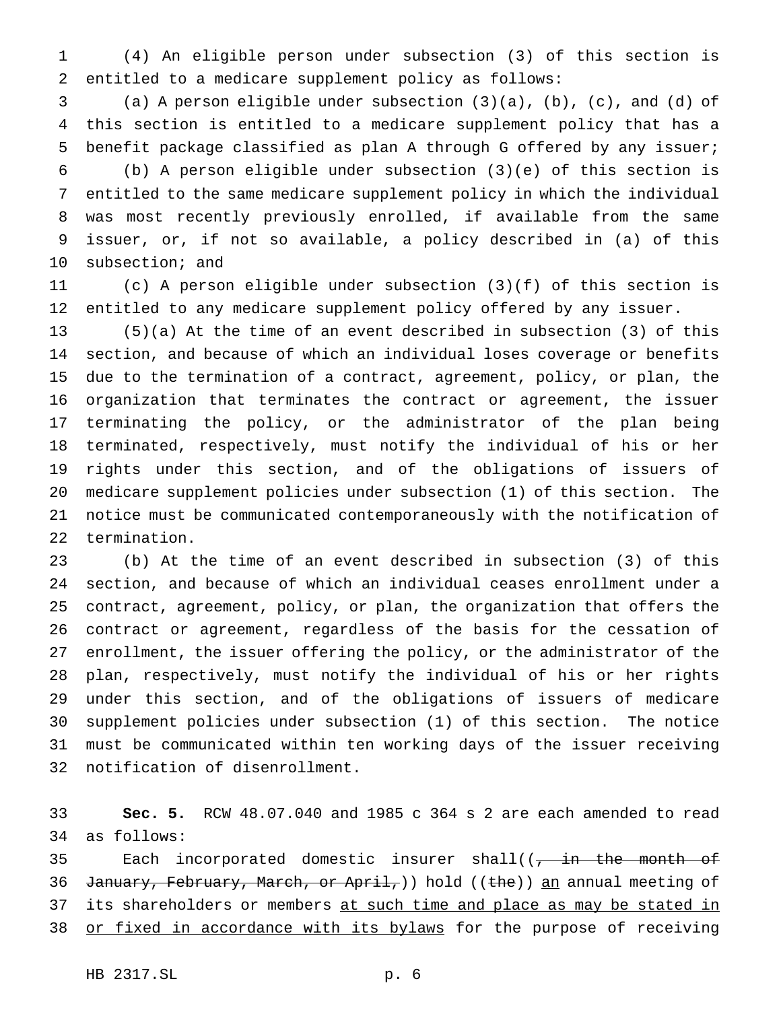(4) An eligible person under subsection (3) of this section is entitled to a medicare supplement policy as follows:

 (a) A person eligible under subsection (3)(a), (b), (c), and (d) of this section is entitled to a medicare supplement policy that has a benefit package classified as plan A through G offered by any issuer;

 (b) A person eligible under subsection (3)(e) of this section is entitled to the same medicare supplement policy in which the individual was most recently previously enrolled, if available from the same issuer, or, if not so available, a policy described in (a) of this subsection; and

 (c) A person eligible under subsection (3)(f) of this section is entitled to any medicare supplement policy offered by any issuer.

 (5)(a) At the time of an event described in subsection (3) of this section, and because of which an individual loses coverage or benefits due to the termination of a contract, agreement, policy, or plan, the organization that terminates the contract or agreement, the issuer terminating the policy, or the administrator of the plan being terminated, respectively, must notify the individual of his or her rights under this section, and of the obligations of issuers of medicare supplement policies under subsection (1) of this section. The notice must be communicated contemporaneously with the notification of termination.

 (b) At the time of an event described in subsection (3) of this section, and because of which an individual ceases enrollment under a contract, agreement, policy, or plan, the organization that offers the contract or agreement, regardless of the basis for the cessation of enrollment, the issuer offering the policy, or the administrator of the plan, respectively, must notify the individual of his or her rights under this section, and of the obligations of issuers of medicare supplement policies under subsection (1) of this section. The notice must be communicated within ten working days of the issuer receiving notification of disenrollment.

 **Sec. 5.** RCW 48.07.040 and 1985 c 364 s 2 are each amended to read as follows:

 Each incorporated domestic insurer shall((, in the month of 36 January, February, March, or April,)) hold ((the)) an annual meeting of 37 its shareholders or members at such time and place as may be stated in 38 or fixed in accordance with its bylaws for the purpose of receiving